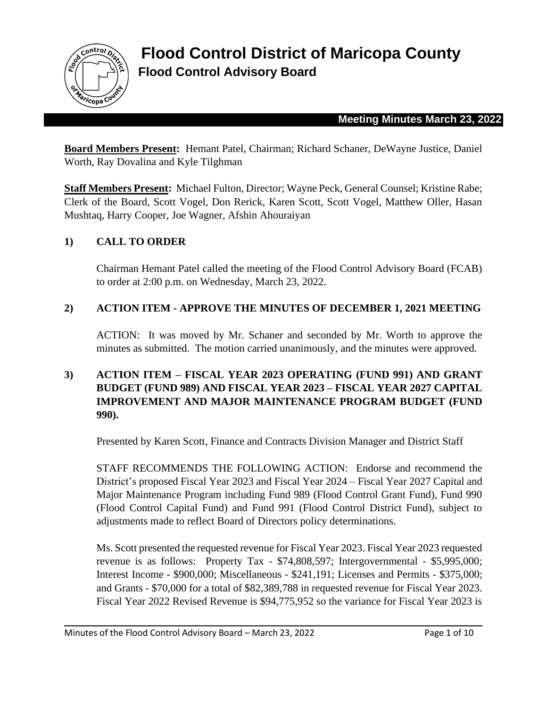

**Flood Control District of Maricopa County Flood Control Advisory Board** 

#### **Meeting Minutes March 23, 2022**

**Board Members Present:** Hemant Patel, Chairman; Richard Schaner, DeWayne Justice, Daniel Worth, Ray Dovalina and Kyle Tilghman

**Staff Members Present:** Michael Fulton, Director; Wayne Peck, General Counsel; Kristine Rabe; Clerk of the Board, Scott Vogel, Don Rerick, Karen Scott, Scott Vogel, Matthew Oller, Hasan Mushtaq, Harry Cooper, Joe Wagner, Afshin Ahouraiyan

### **1) CALL TO ORDER**

Chairman Hemant Patel called the meeting of the Flood Control Advisory Board (FCAB) to order at 2:00 p.m. on Wednesday, March 23, 2022.

#### **2) ACTION ITEM - APPROVE THE MINUTES OF DECEMBER 1, 2021 MEETING**

ACTION: It was moved by Mr. Schaner and seconded by Mr. Worth to approve the minutes as submitted. The motion carried unanimously, and the minutes were approved.

### **3) ACTION ITEM – FISCAL YEAR 2023 OPERATING (FUND 991) AND GRANT BUDGET (FUND 989) AND FISCAL YEAR 2023 – FISCAL YEAR 2027 CAPITAL IMPROVEMENT AND MAJOR MAINTENANCE PROGRAM BUDGET (FUND 990).**

Presented by Karen Scott, Finance and Contracts Division Manager and District Staff

STAFF RECOMMENDS THE FOLLOWING ACTION: Endorse and recommend the District's proposed Fiscal Year 2023 and Fiscal Year 2024 – Fiscal Year 2027 Capital and Major Maintenance Program including Fund 989 (Flood Control Grant Fund), Fund 990 (Flood Control Capital Fund) and Fund 991 (Flood Control District Fund), subject to adjustments made to reflect Board of Directors policy determinations.

Ms. Scott presented the requested revenue for Fiscal Year 2023. Fiscal Year 2023 requested revenue is as follows: Property Tax - \$74,808,597; Intergovernmental - \$5,995,000; Interest Income - \$900,000; Miscellaneous - \$241,191; Licenses and Permits - \$375,000; and Grants - \$70,000 for a total of \$82,389,788 in requested revenue for Fiscal Year 2023. Fiscal Year 2022 Revised Revenue is \$94,775,952 so the variance for Fiscal Year 2023 is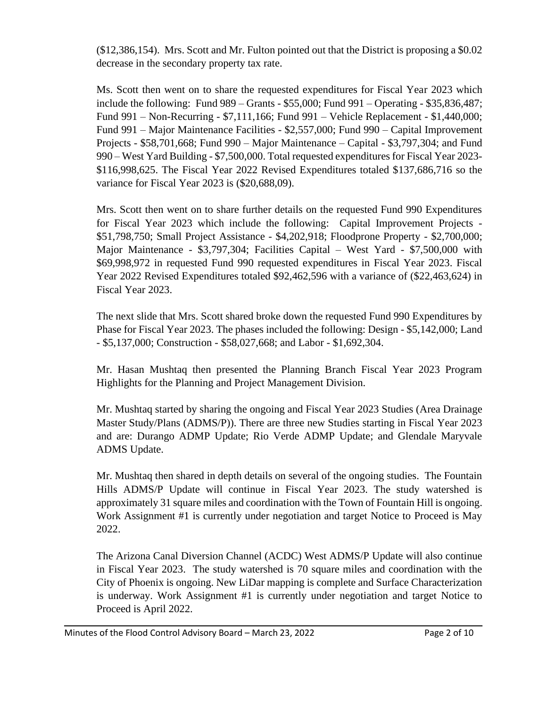(\$12,386,154). Mrs. Scott and Mr. Fulton pointed out that the District is proposing a \$0.02 decrease in the secondary property tax rate.

Ms. Scott then went on to share the requested expenditures for Fiscal Year 2023 which include the following: Fund 989 – Grants - \$55,000; Fund 991 – Operating - \$35,836,487; Fund 991 – Non-Recurring - \$7,111,166; Fund 991 – Vehicle Replacement - \$1,440,000; Fund 991 – Major Maintenance Facilities - \$2,557,000; Fund 990 – Capital Improvement Projects - \$58,701,668; Fund 990 – Major Maintenance – Capital - \$3,797,304; and Fund 990 – West Yard Building - \$7,500,000. Total requested expenditures for Fiscal Year 2023- \$116,998,625. The Fiscal Year 2022 Revised Expenditures totaled \$137,686,716 so the variance for Fiscal Year 2023 is (\$20,688,09).

Mrs. Scott then went on to share further details on the requested Fund 990 Expenditures for Fiscal Year 2023 which include the following: Capital Improvement Projects - \$51,798,750; Small Project Assistance - \$4,202,918; Floodprone Property - \$2,700,000; Major Maintenance - \$3,797,304; Facilities Capital – West Yard - \$7,500,000 with \$69,998,972 in requested Fund 990 requested expenditures in Fiscal Year 2023. Fiscal Year 2022 Revised Expenditures totaled \$92,462,596 with a variance of (\$22,463,624) in Fiscal Year 2023.

The next slide that Mrs. Scott shared broke down the requested Fund 990 Expenditures by Phase for Fiscal Year 2023. The phases included the following: Design - \$5,142,000; Land - \$5,137,000; Construction - \$58,027,668; and Labor - \$1,692,304.

Mr. Hasan Mushtaq then presented the Planning Branch Fiscal Year 2023 Program Highlights for the Planning and Project Management Division.

Mr. Mushtaq started by sharing the ongoing and Fiscal Year 2023 Studies (Area Drainage Master Study/Plans (ADMS/P)). There are three new Studies starting in Fiscal Year 2023 and are: Durango ADMP Update; Rio Verde ADMP Update; and Glendale Maryvale ADMS Update.

Mr. Mushtaq then shared in depth details on several of the ongoing studies. The Fountain Hills ADMS/P Update will continue in Fiscal Year 2023. The study watershed is approximately 31 square miles and coordination with the Town of Fountain Hill is ongoing. Work Assignment #1 is currently under negotiation and target Notice to Proceed is May 2022.

The Arizona Canal Diversion Channel (ACDC) West ADMS/P Update will also continue in Fiscal Year 2023. The study watershed is 70 square miles and coordination with the City of Phoenix is ongoing. New LiDar mapping is complete and Surface Characterization is underway. Work Assignment #1 is currently under negotiation and target Notice to Proceed is April 2022.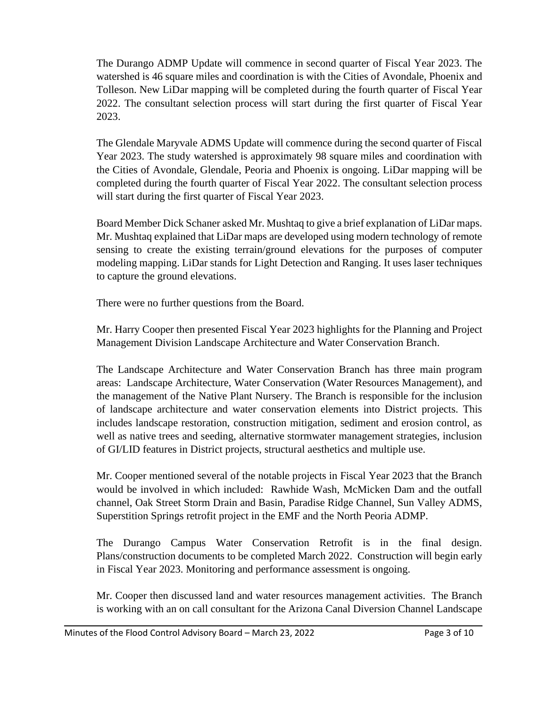The Durango ADMP Update will commence in second quarter of Fiscal Year 2023. The watershed is 46 square miles and coordination is with the Cities of Avondale, Phoenix and Tolleson. New LiDar mapping will be completed during the fourth quarter of Fiscal Year 2022. The consultant selection process will start during the first quarter of Fiscal Year 2023.

The Glendale Maryvale ADMS Update will commence during the second quarter of Fiscal Year 2023. The study watershed is approximately 98 square miles and coordination with the Cities of Avondale, Glendale, Peoria and Phoenix is ongoing. LiDar mapping will be completed during the fourth quarter of Fiscal Year 2022. The consultant selection process will start during the first quarter of Fiscal Year 2023.

Board Member Dick Schaner asked Mr. Mushtaq to give a brief explanation of LiDar maps. Mr. Mushtaq explained that LiDar maps are developed using modern technology of remote sensing to create the existing terrain/ground elevations for the purposes of computer modeling mapping. LiDar stands for Light Detection and Ranging. It uses laser techniques to capture the ground elevations.

There were no further questions from the Board.

Mr. Harry Cooper then presented Fiscal Year 2023 highlights for the Planning and Project Management Division Landscape Architecture and Water Conservation Branch.

The Landscape Architecture and Water Conservation Branch has three main program areas: Landscape Architecture, Water Conservation (Water Resources Management), and the management of the Native Plant Nursery. The Branch is responsible for the inclusion of landscape architecture and water conservation elements into District projects. This includes landscape restoration, construction mitigation, sediment and erosion control, as well as native trees and seeding, alternative stormwater management strategies, inclusion of GI/LID features in District projects, structural aesthetics and multiple use.

Mr. Cooper mentioned several of the notable projects in Fiscal Year 2023 that the Branch would be involved in which included: Rawhide Wash, McMicken Dam and the outfall channel, Oak Street Storm Drain and Basin, Paradise Ridge Channel, Sun Valley ADMS, Superstition Springs retrofit project in the EMF and the North Peoria ADMP.

The Durango Campus Water Conservation Retrofit is in the final design. Plans/construction documents to be completed March 2022. Construction will begin early in Fiscal Year 2023. Monitoring and performance assessment is ongoing.

Mr. Cooper then discussed land and water resources management activities. The Branch is working with an on call consultant for the Arizona Canal Diversion Channel Landscape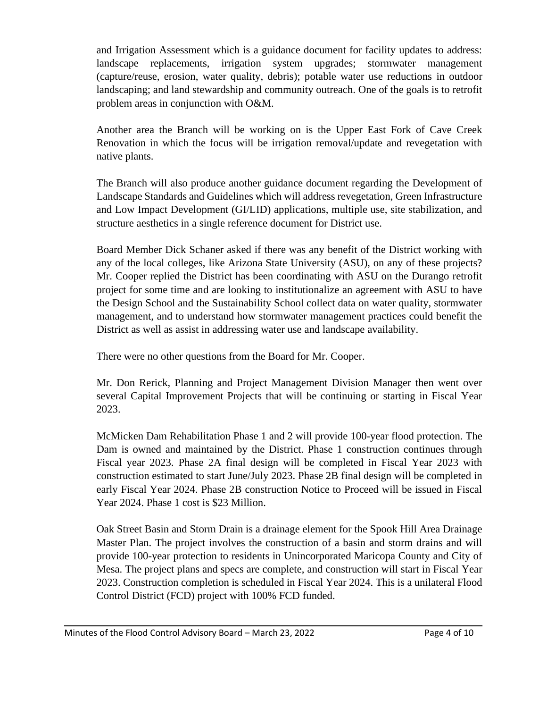and Irrigation Assessment which is a guidance document for facility updates to address: landscape replacements, irrigation system upgrades; stormwater management (capture/reuse, erosion, water quality, debris); potable water use reductions in outdoor landscaping; and land stewardship and community outreach. One of the goals is to retrofit problem areas in conjunction with O&M.

Another area the Branch will be working on is the Upper East Fork of Cave Creek Renovation in which the focus will be irrigation removal/update and revegetation with native plants.

The Branch will also produce another guidance document regarding the Development of Landscape Standards and Guidelines which will address revegetation, Green Infrastructure and Low Impact Development (GI/LID) applications, multiple use, site stabilization, and structure aesthetics in a single reference document for District use.

Board Member Dick Schaner asked if there was any benefit of the District working with any of the local colleges, like Arizona State University (ASU), on any of these projects? Mr. Cooper replied the District has been coordinating with ASU on the Durango retrofit project for some time and are looking to institutionalize an agreement with ASU to have the Design School and the Sustainability School collect data on water quality, stormwater management, and to understand how stormwater management practices could benefit the District as well as assist in addressing water use and landscape availability.

There were no other questions from the Board for Mr. Cooper.

Mr. Don Rerick, Planning and Project Management Division Manager then went over several Capital Improvement Projects that will be continuing or starting in Fiscal Year 2023.

McMicken Dam Rehabilitation Phase 1 and 2 will provide 100-year flood protection. The Dam is owned and maintained by the District. Phase 1 construction continues through Fiscal year 2023. Phase 2A final design will be completed in Fiscal Year 2023 with construction estimated to start June/July 2023. Phase 2B final design will be completed in early Fiscal Year 2024. Phase 2B construction Notice to Proceed will be issued in Fiscal Year 2024. Phase 1 cost is \$23 Million.

Oak Street Basin and Storm Drain is a drainage element for the Spook Hill Area Drainage Master Plan. The project involves the construction of a basin and storm drains and will provide 100-year protection to residents in Unincorporated Maricopa County and City of Mesa. The project plans and specs are complete, and construction will start in Fiscal Year 2023. Construction completion is scheduled in Fiscal Year 2024. This is a unilateral Flood Control District (FCD) project with 100% FCD funded.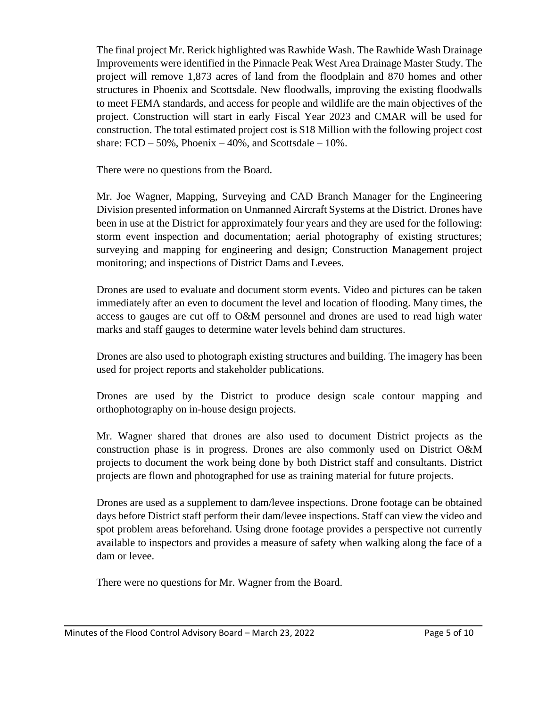The final project Mr. Rerick highlighted was Rawhide Wash. The Rawhide Wash Drainage Improvements were identified in the Pinnacle Peak West Area Drainage Master Study. The project will remove 1,873 acres of land from the floodplain and 870 homes and other structures in Phoenix and Scottsdale. New floodwalls, improving the existing floodwalls to meet FEMA standards, and access for people and wildlife are the main objectives of the project. Construction will start in early Fiscal Year 2023 and CMAR will be used for construction. The total estimated project cost is \$18 Million with the following project cost share:  $FCD - 50\%$ , Phoenix  $-40\%$ , and Scottsdale  $-10\%$ .

There were no questions from the Board.

Mr. Joe Wagner, Mapping, Surveying and CAD Branch Manager for the Engineering Division presented information on Unmanned Aircraft Systems at the District. Drones have been in use at the District for approximately four years and they are used for the following: storm event inspection and documentation; aerial photography of existing structures; surveying and mapping for engineering and design; Construction Management project monitoring; and inspections of District Dams and Levees.

Drones are used to evaluate and document storm events. Video and pictures can be taken immediately after an even to document the level and location of flooding. Many times, the access to gauges are cut off to O&M personnel and drones are used to read high water marks and staff gauges to determine water levels behind dam structures.

Drones are also used to photograph existing structures and building. The imagery has been used for project reports and stakeholder publications.

Drones are used by the District to produce design scale contour mapping and orthophotography on in-house design projects.

Mr. Wagner shared that drones are also used to document District projects as the construction phase is in progress. Drones are also commonly used on District O&M projects to document the work being done by both District staff and consultants. District projects are flown and photographed for use as training material for future projects.

Drones are used as a supplement to dam/levee inspections. Drone footage can be obtained days before District staff perform their dam/levee inspections. Staff can view the video and spot problem areas beforehand. Using drone footage provides a perspective not currently available to inspectors and provides a measure of safety when walking along the face of a dam or levee.

There were no questions for Mr. Wagner from the Board.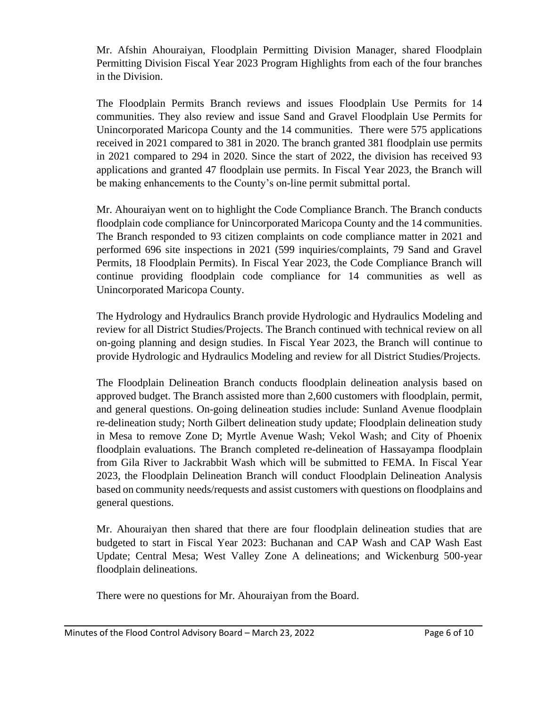Mr. Afshin Ahouraiyan, Floodplain Permitting Division Manager, shared Floodplain Permitting Division Fiscal Year 2023 Program Highlights from each of the four branches in the Division.

The Floodplain Permits Branch reviews and issues Floodplain Use Permits for 14 communities. They also review and issue Sand and Gravel Floodplain Use Permits for Unincorporated Maricopa County and the 14 communities. There were 575 applications received in 2021 compared to 381 in 2020. The branch granted 381 floodplain use permits in 2021 compared to 294 in 2020. Since the start of 2022, the division has received 93 applications and granted 47 floodplain use permits. In Fiscal Year 2023, the Branch will be making enhancements to the County's on-line permit submittal portal.

Mr. Ahouraiyan went on to highlight the Code Compliance Branch. The Branch conducts floodplain code compliance for Unincorporated Maricopa County and the 14 communities. The Branch responded to 93 citizen complaints on code compliance matter in 2021 and performed 696 site inspections in 2021 (599 inquiries/complaints, 79 Sand and Gravel Permits, 18 Floodplain Permits). In Fiscal Year 2023, the Code Compliance Branch will continue providing floodplain code compliance for 14 communities as well as Unincorporated Maricopa County.

The Hydrology and Hydraulics Branch provide Hydrologic and Hydraulics Modeling and review for all District Studies/Projects. The Branch continued with technical review on all on-going planning and design studies. In Fiscal Year 2023, the Branch will continue to provide Hydrologic and Hydraulics Modeling and review for all District Studies/Projects.

The Floodplain Delineation Branch conducts floodplain delineation analysis based on approved budget. The Branch assisted more than 2,600 customers with floodplain, permit, and general questions. On-going delineation studies include: Sunland Avenue floodplain re-delineation study; North Gilbert delineation study update; Floodplain delineation study in Mesa to remove Zone D; Myrtle Avenue Wash; Vekol Wash; and City of Phoenix floodplain evaluations. The Branch completed re-delineation of Hassayampa floodplain from Gila River to Jackrabbit Wash which will be submitted to FEMA. In Fiscal Year 2023, the Floodplain Delineation Branch will conduct Floodplain Delineation Analysis based on community needs/requests and assist customers with questions on floodplains and general questions.

Mr. Ahouraiyan then shared that there are four floodplain delineation studies that are budgeted to start in Fiscal Year 2023: Buchanan and CAP Wash and CAP Wash East Update; Central Mesa; West Valley Zone A delineations; and Wickenburg 500-year floodplain delineations.

There were no questions for Mr. Ahouraiyan from the Board.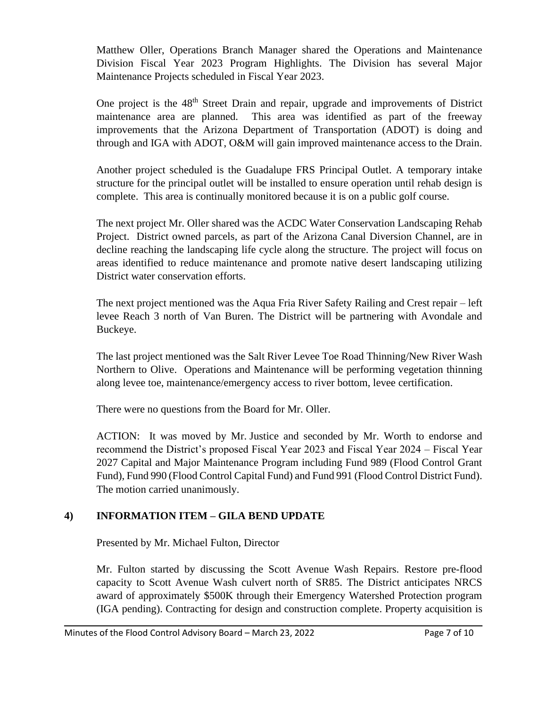Matthew Oller, Operations Branch Manager shared the Operations and Maintenance Division Fiscal Year 2023 Program Highlights. The Division has several Major Maintenance Projects scheduled in Fiscal Year 2023.

One project is the 48<sup>th</sup> Street Drain and repair, upgrade and improvements of District maintenance area are planned. This area was identified as part of the freeway improvements that the Arizona Department of Transportation (ADOT) is doing and through and IGA with ADOT, O&M will gain improved maintenance access to the Drain.

Another project scheduled is the Guadalupe FRS Principal Outlet. A temporary intake structure for the principal outlet will be installed to ensure operation until rehab design is complete. This area is continually monitored because it is on a public golf course.

The next project Mr. Oller shared was the ACDC Water Conservation Landscaping Rehab Project. District owned parcels, as part of the Arizona Canal Diversion Channel, are in decline reaching the landscaping life cycle along the structure. The project will focus on areas identified to reduce maintenance and promote native desert landscaping utilizing District water conservation efforts.

The next project mentioned was the Aqua Fria River Safety Railing and Crest repair – left levee Reach 3 north of Van Buren. The District will be partnering with Avondale and Buckeye.

The last project mentioned was the Salt River Levee Toe Road Thinning/New River Wash Northern to Olive. Operations and Maintenance will be performing vegetation thinning along levee toe, maintenance/emergency access to river bottom, levee certification.

There were no questions from the Board for Mr. Oller.

ACTION: It was moved by Mr. Justice and seconded by Mr. Worth to endorse and recommend the District's proposed Fiscal Year 2023 and Fiscal Year 2024 – Fiscal Year 2027 Capital and Major Maintenance Program including Fund 989 (Flood Control Grant Fund), Fund 990 (Flood Control Capital Fund) and Fund 991 (Flood Control District Fund). The motion carried unanimously.

# **4) INFORMATION ITEM – GILA BEND UPDATE**

Presented by Mr. Michael Fulton, Director

Mr. Fulton started by discussing the Scott Avenue Wash Repairs. Restore pre-flood capacity to Scott Avenue Wash culvert north of SR85. The District anticipates NRCS award of approximately \$500K through their Emergency Watershed Protection program (IGA pending). Contracting for design and construction complete. Property acquisition is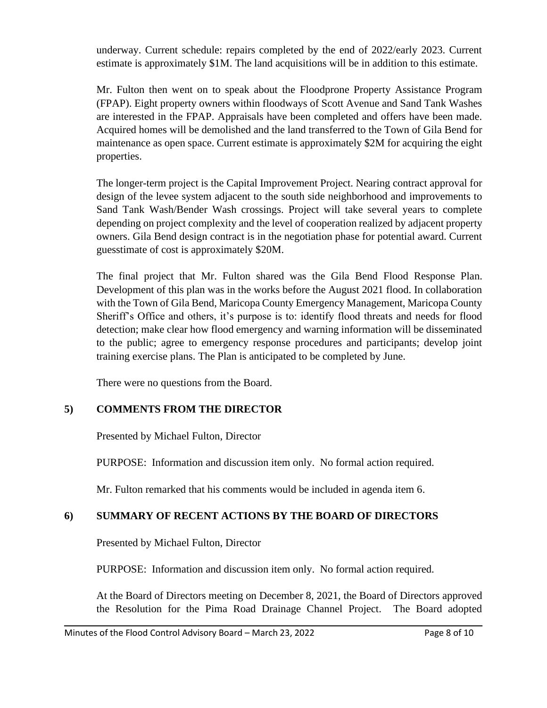underway. Current schedule: repairs completed by the end of 2022/early 2023. Current estimate is approximately \$1M. The land acquisitions will be in addition to this estimate.

Mr. Fulton then went on to speak about the Floodprone Property Assistance Program (FPAP). Eight property owners within floodways of Scott Avenue and Sand Tank Washes are interested in the FPAP. Appraisals have been completed and offers have been made. Acquired homes will be demolished and the land transferred to the Town of Gila Bend for maintenance as open space. Current estimate is approximately \$2M for acquiring the eight properties.

The longer-term project is the Capital Improvement Project. Nearing contract approval for design of the levee system adjacent to the south side neighborhood and improvements to Sand Tank Wash/Bender Wash crossings. Project will take several years to complete depending on project complexity and the level of cooperation realized by adjacent property owners. Gila Bend design contract is in the negotiation phase for potential award. Current guesstimate of cost is approximately \$20M.

The final project that Mr. Fulton shared was the Gila Bend Flood Response Plan. Development of this plan was in the works before the August 2021 flood. In collaboration with the Town of Gila Bend, Maricopa County Emergency Management, Maricopa County Sheriff's Office and others, it's purpose is to: identify flood threats and needs for flood detection; make clear how flood emergency and warning information will be disseminated to the public; agree to emergency response procedures and participants; develop joint training exercise plans. The Plan is anticipated to be completed by June.

There were no questions from the Board.

# **5) COMMENTS FROM THE DIRECTOR**

Presented by Michael Fulton, Director

PURPOSE: Information and discussion item only. No formal action required.

Mr. Fulton remarked that his comments would be included in agenda item 6.

# **6) SUMMARY OF RECENT ACTIONS BY THE BOARD OF DIRECTORS**

Presented by Michael Fulton, Director

PURPOSE: Information and discussion item only. No formal action required.

At the Board of Directors meeting on December 8, 2021, the Board of Directors approved the Resolution for the Pima Road Drainage Channel Project. The Board adopted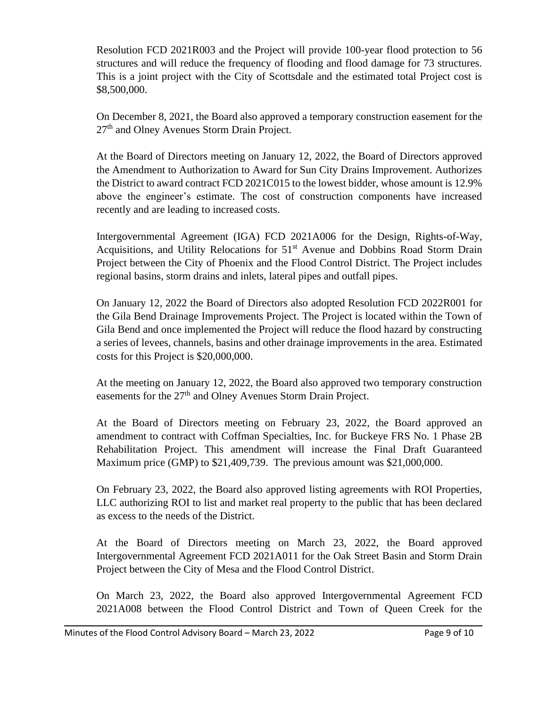Resolution FCD 2021R003 and the Project will provide 100-year flood protection to 56 structures and will reduce the frequency of flooding and flood damage for 73 structures. This is a joint project with the City of Scottsdale and the estimated total Project cost is \$8,500,000.

On December 8, 2021, the Board also approved a temporary construction easement for the 27<sup>th</sup> and Olney Avenues Storm Drain Project.

At the Board of Directors meeting on January 12, 2022, the Board of Directors approved the Amendment to Authorization to Award for Sun City Drains Improvement. Authorizes the District to award contract FCD 2021C015 to the lowest bidder, whose amount is 12.9% above the engineer's estimate. The cost of construction components have increased recently and are leading to increased costs.

Intergovernmental Agreement (IGA) FCD 2021A006 for the Design, Rights-of-Way, Acquisitions, and Utility Relocations for 51<sup>st</sup> Avenue and Dobbins Road Storm Drain Project between the City of Phoenix and the Flood Control District. The Project includes regional basins, storm drains and inlets, lateral pipes and outfall pipes.

On January 12, 2022 the Board of Directors also adopted Resolution FCD 2022R001 for the Gila Bend Drainage Improvements Project. The Project is located within the Town of Gila Bend and once implemented the Project will reduce the flood hazard by constructing a series of levees, channels, basins and other drainage improvements in the area. Estimated costs for this Project is \$20,000,000.

At the meeting on January 12, 2022, the Board also approved two temporary construction easements for the 27<sup>th</sup> and Olney Avenues Storm Drain Project.

At the Board of Directors meeting on February 23, 2022, the Board approved an amendment to contract with Coffman Specialties, Inc. for Buckeye FRS No. 1 Phase 2B Rehabilitation Project. This amendment will increase the Final Draft Guaranteed Maximum price (GMP) to \$21,409,739. The previous amount was \$21,000,000.

On February 23, 2022, the Board also approved listing agreements with ROI Properties, LLC authorizing ROI to list and market real property to the public that has been declared as excess to the needs of the District.

At the Board of Directors meeting on March 23, 2022, the Board approved Intergovernmental Agreement FCD 2021A011 for the Oak Street Basin and Storm Drain Project between the City of Mesa and the Flood Control District.

On March 23, 2022, the Board also approved Intergovernmental Agreement FCD 2021A008 between the Flood Control District and Town of Queen Creek for the